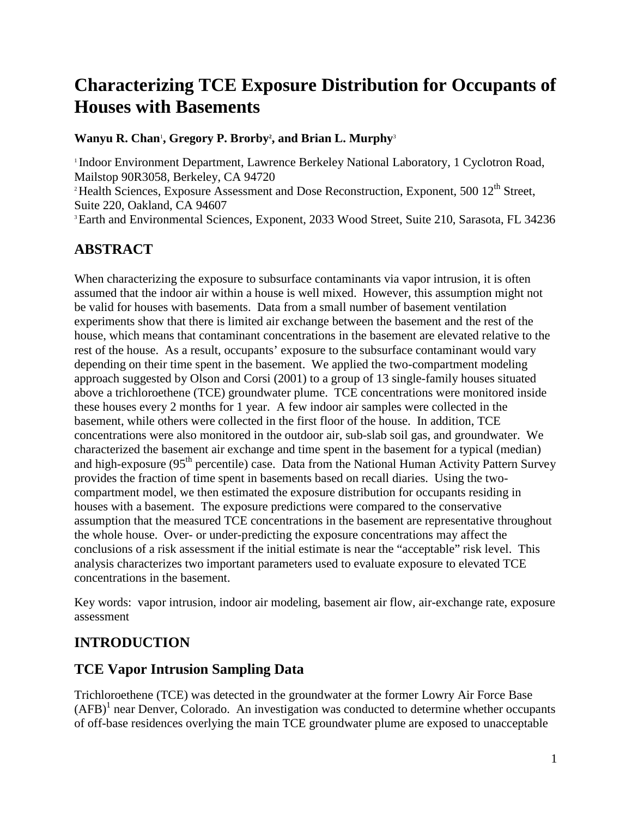# **Characterizing TCE Exposure Distribution for Occupants of Houses with Basements**

#### **Wanyu R. Chan', Gregory P. Brorby', and Brian L. Murphy<sup>3</sup>**

<sup>1</sup> Indoor Environment Department, Lawrence Berkeley National Laboratory, 1 Cyclotron Road, Mailstop 90R3058, Berkeley, CA 94720<br>
<sup>2</sup> Health Sciences, Exposure Assessment and Dose Reconstruction, Exponent, 500 12<sup>th</sup> Street, Suite 220, Oakland, CA 94607 3 Earth and Environmental Sciences, Exponent, 2033 Wood Street, Suite 210, Sarasota, FL 34236

## **ABSTRACT**

When characterizing the exposure to subsurface contaminants via vapor intrusion, it is often assumed that the indoor air within a house is well mixed. However, this assumption might not be valid for houses with basements. Data from a small number of basement ventilation experiments show that there is limited air exchange between the basement and the rest of the house, which means that contaminant concentrations in the basement are elevated relative to the rest of the house. As a result, occupants' exposure to the subsurface contaminant would vary depending on their time spent in the basement. We applied the two-compartment modeling approach suggested by Olson and Corsi (2001) to a group of 13 single-family houses situated above a trichloroethene (TCE) groundwater plume. TCE concentrations were monitored inside these houses every 2 months for 1 year. A few indoor air samples were collected in the basement, while others were collected in the first floor of the house. In addition, TCE concentrations were also monitored in the outdoor air, sub-slab soil gas, and groundwater. We characterized the basement air exchange and time spent in the basement for a typical (median) and high-exposure (95<sup>th</sup> percentile) case. Data from the National Human Activity Pattern Survey provides the fraction of time spent in basements based on recall diaries. Using the twocompartment model, we then estimated the exposure distribution for occupants residing in houses with a basement. The exposure predictions were compared to the conservative assumption that the measured TCE concentrations in the basement are representative throughout the whole house. Over- or under-predicting the exposure concentrations may affect the conclusions of a risk assessment if the initial estimate is near the "acceptable" risk level. This analysis characterizes two important parameters used to evaluate exposure to elevated TCE concentrations in the basement.

Key words: vapor intrusion, indoor air modeling, basement air flow, air-exchange rate, exposure assessment

## **INTRODUCTION**

#### **TCE Vapor Intrusion Sampling Data**

Trichloroethene (TCE) was detected in the groundwater at the former Lowry Air Force Base  $(AFB)^1$  near Denver, Colorado. An investigation was conducted to determine whether occupants of off-base residences overlying the main TCE groundwater plume are exposed to unacceptable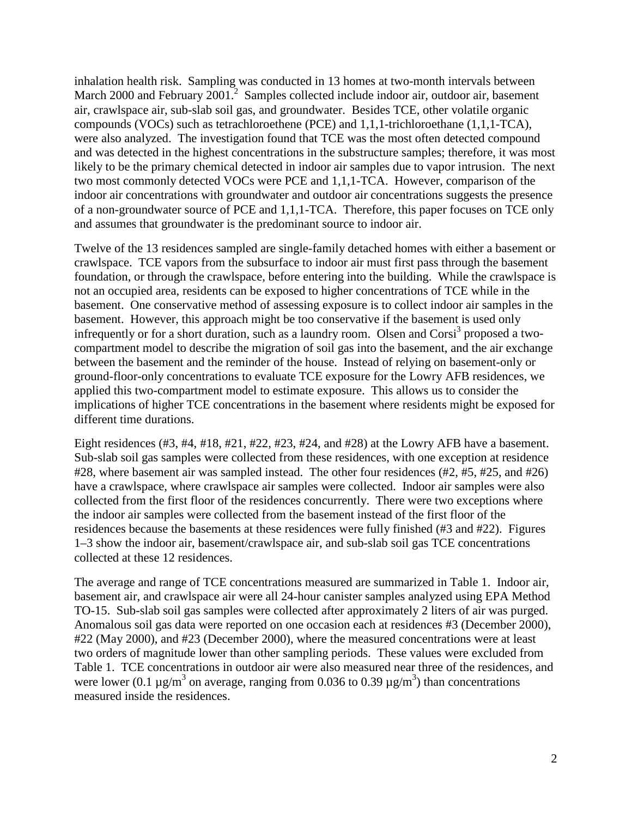inhalation health risk. Sampling was conducted in 13 homes at two-month intervals between March 2000 and February 2001.<sup>2</sup> Samples collected include indoor air, outdoor air, basement air, crawlspace air, sub-slab soil gas, and groundwater. Besides TCE, other volatile organic compounds (VOCs) such as tetrachloroethene (PCE) and 1,1,1-trichloroethane (1,1,1-TCA), were also analyzed. The investigation found that TCE was the most often detected compound and was detected in the highest concentrations in the substructure samples; therefore, it was most likely to be the primary chemical detected in indoor air samples due to vapor intrusion. The next two most commonly detected VOCs were PCE and 1,1,1-TCA. However, comparison of the indoor air concentrations with groundwater and outdoor air concentrations suggests the presence of a non-groundwater source of PCE and 1,1,1-TCA. Therefore, this paper focuses on TCE only and assumes that groundwater is the predominant source to indoor air.

Twelve of the 13 residences sampled are single-family detached homes with either a basement or crawlspace. TCE vapors from the subsurface to indoor air must first pass through the basement foundation, or through the crawlspace, before entering into the building. While the crawlspace is not an occupied area, residents can be exposed to higher concentrations of TCE while in the basement. One conservative method of assessing exposure is to collect indoor air samples in the basement. However, this approach might be too conservative if the basement is used only infrequently or for a short duration, such as a laundry room. Olsen and Corsi<sup>3</sup> proposed a twocompartment model to describe the migration of soil gas into the basement, and the air exchange between the basement and the reminder of the house. Instead of relying on basement-only or ground-floor-only concentrations to evaluate TCE exposure for the Lowry AFB residences, we applied this two-compartment model to estimate exposure. This allows us to consider the implications of higher TCE concentrations in the basement where residents might be exposed for different time durations.

Eight residences (#3, #4, #18, #21, #22, #23, #24, and #28) at the Lowry AFB have a basement. Sub-slab soil gas samples were collected from these residences, with one exception at residence #28, where basement air was sampled instead. The other four residences (#2, #5, #25, and #26) have a crawlspace, where crawlspace air samples were collected. Indoor air samples were also collected from the first floor of the residences concurrently. There were two exceptions where the indoor air samples were collected from the basement instead of the first floor of the residences because the basements at these residences were fully finished (#3 and #22). Figures 1–3 show the indoor air, basement/crawlspace air, and sub-slab soil gas TCE concentrations collected at these 12 residences.

The average and range of TCE concentrations measured are summarized in Table 1. Indoor air, basement air, and crawlspace air were all 24-hour canister samples analyzed using EPA Method TO-15. Sub-slab soil gas samples were collected after approximately 2 liters of air was purged. Anomalous soil gas data were reported on one occasion each at residences #3 (December 2000), #22 (May 2000), and #23 (December 2000), where the measured concentrations were at least two orders of magnitude lower than other sampling periods. These values were excluded from Table 1. TCE concentrations in outdoor air were also measured near three of the residences, and were lower (0.1  $\mu$ g/m<sup>3</sup> on average, ranging from 0.036 to 0.39  $\mu$ g/m<sup>3</sup>) than concentrations measured inside the residences.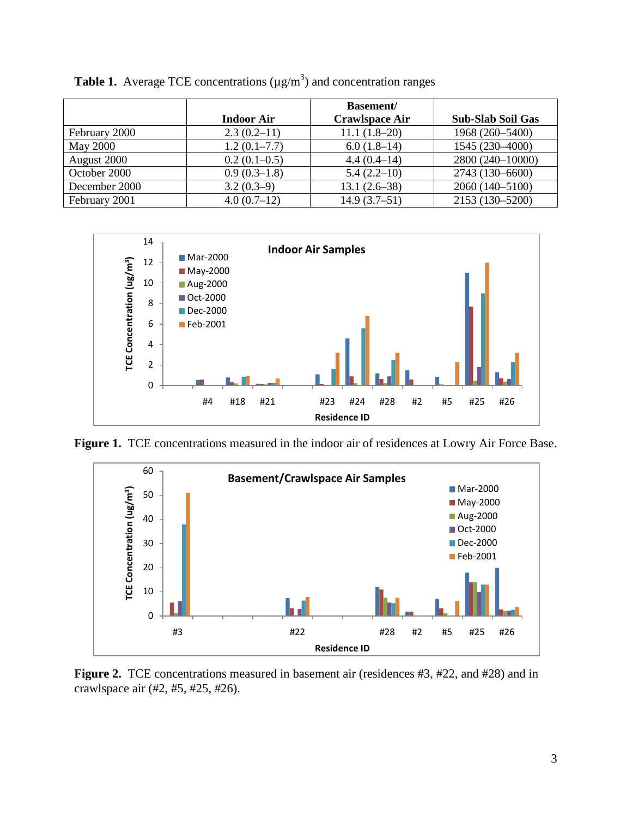|                 |                   | <b>Basement</b> /     |                          |
|-----------------|-------------------|-----------------------|--------------------------|
|                 | <b>Indoor Air</b> | <b>Crawlspace Air</b> | <b>Sub-Slab Soil Gas</b> |
| February 2000   | $2.3(0.2-11)$     | $11.1(1.8-20)$        | 1968 (260-5400)          |
| <b>May 2000</b> | $1.2(0.1-7.7)$    | $6.0(1.8-14)$         | 1545 (230-4000)          |
| August 2000     | $0.2(0.1-0.5)$    | $4.4(0.4-14)$         | 2800 (240-10000)         |
| October 2000    | $0.9(0.3-1.8)$    | $5.4(2.2-10)$         | 2743 (130-6600)          |
| December 2000   | $3.2(0.3-9)$      | $13.1(2.6-38)$        | 2060 (140-5100)          |
| February 2001   | $4.0(0.7-12)$     | $14.9(3.7-51)$        | 2153 (130-5200)          |

**Table 1.** Average TCE concentrations  $(\mu g/m^3)$  and concentration ranges



**Figure 1.** TCE concentrations measured in the indoor air of residences at Lowry Air Force Base.



**Figure 2.** TCE concentrations measured in basement air (residences #3, #22, and #28) and in crawlspace air (#2, #5, #25, #26).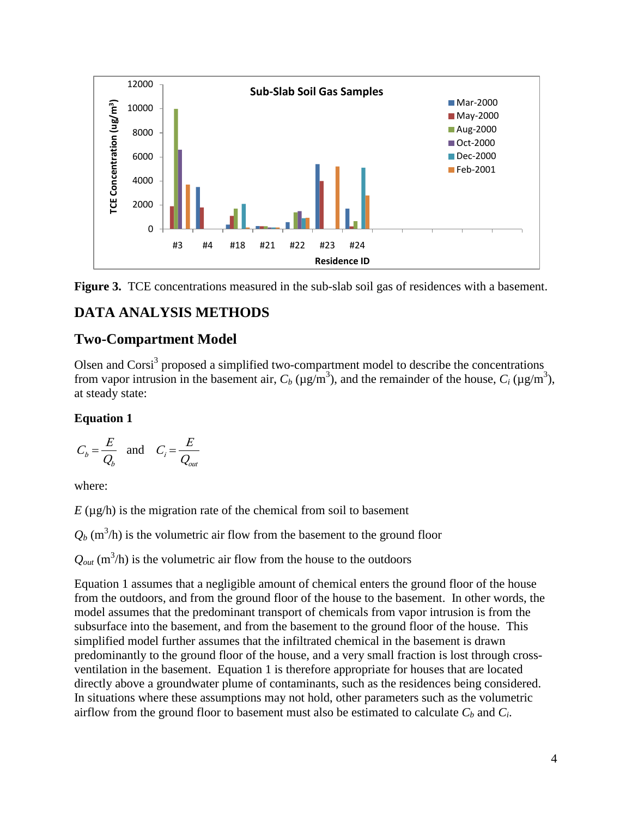



## **DATA ANALYSIS METHODS**

#### **Two-Compartment Model**

Olsen and Corsi<sup>3</sup> proposed a simplified two-compartment model to describe the concentrations from vapor intrusion in the basement air,  $C_b$  ( $\mu$ g/m<sup>3</sup>), and the remainder of the house,  $C_i$  ( $\mu$ g/m<sup>3</sup>), at steady state:

#### **Equation 1**

$$
C_b = \frac{E}{Q_b} \quad \text{and} \quad C_i = \frac{E}{Q_{out}}
$$

where:

 $E(\mu g/h)$  is the migration rate of the chemical from soil to basement

 $Q_b$  (m<sup>3</sup>/h) is the volumetric air flow from the basement to the ground floor

 $Q_{out}$  (m<sup>3</sup>/h) is the volumetric air flow from the house to the outdoors

Equation 1 assumes that a negligible amount of chemical enters the ground floor of the house from the outdoors, and from the ground floor of the house to the basement. In other words, the model assumes that the predominant transport of chemicals from vapor intrusion is from the subsurface into the basement, and from the basement to the ground floor of the house. This simplified model further assumes that the infiltrated chemical in the basement is drawn predominantly to the ground floor of the house, and a very small fraction is lost through crossventilation in the basement. Equation 1 is therefore appropriate for houses that are located directly above a groundwater plume of contaminants, such as the residences being considered. In situations where these assumptions may not hold, other parameters such as the volumetric airflow from the ground floor to basement must also be estimated to calculate  $C_b$  and  $C_i$ .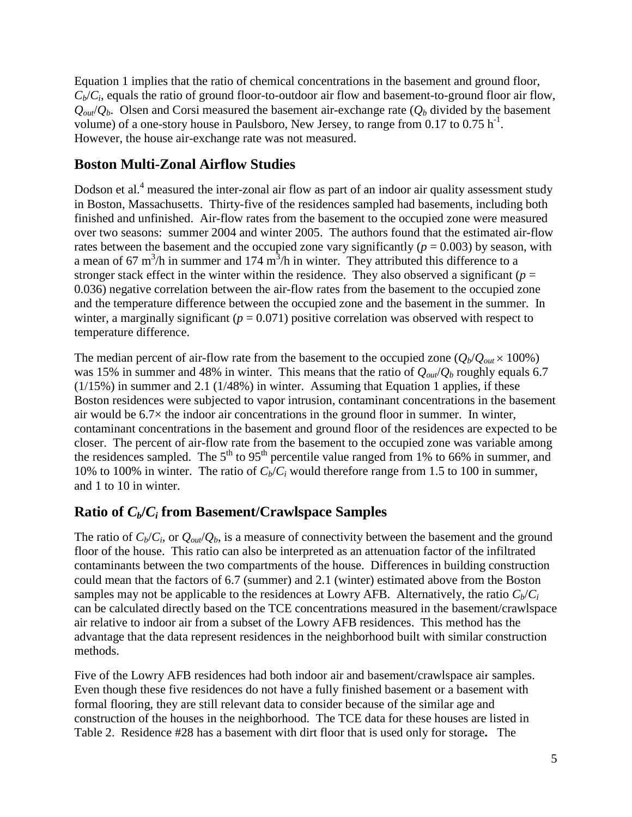Equation 1 implies that the ratio of chemical concentrations in the basement and ground floor,  $C_b/C_i$ , equals the ratio of ground floor-to-outdoor air flow and basement-to-ground floor air flow,  $Q_{out}/Q_b$ . Olsen and Corsi measured the basement air-exchange rate  $(Q_b \text{ divided by the basement})$ volume) of a one-story house in Paulsboro, New Jersey, to range from 0.17 to 0.75  $h^{-1}$ . However, the house air-exchange rate was not measured.

#### **Boston Multi-Zonal Airflow Studies**

Dodson et al.<sup>4</sup> measured the inter-zonal air flow as part of an indoor air quality assessment study in Boston, Massachusetts. Thirty-five of the residences sampled had basements, including both finished and unfinished. Air-flow rates from the basement to the occupied zone were measured over two seasons: summer 2004 and winter 2005. The authors found that the estimated air-flow rates between the basement and the occupied zone vary significantly  $(p = 0.003)$  by season, with a mean of 67 m<sup>3</sup>/h in summer and 174 m<sup>3</sup>/h in winter. They attributed this difference to a stronger stack effect in the winter within the residence. They also observed a significant ( $p =$ 0.036) negative correlation between the air-flow rates from the basement to the occupied zone and the temperature difference between the occupied zone and the basement in the summer. In winter, a marginally significant  $(p = 0.071)$  positive correlation was observed with respect to temperature difference.

The median percent of air-flow rate from the basement to the occupied zone  $(Q_b/Q_{out} \times 100\%)$ was 15% in summer and 48% in winter. This means that the ratio of *Qout*/*Qb* roughly equals 6.7 (1/15%) in summer and 2.1 (1/48%) in winter. Assuming that Equation 1 applies, if these Boston residences were subjected to vapor intrusion, contaminant concentrations in the basement air would be  $6.7\times$  the indoor air concentrations in the ground floor in summer. In winter, contaminant concentrations in the basement and ground floor of the residences are expected to be closer. The percent of air-flow rate from the basement to the occupied zone was variable among the residences sampled. The  $5<sup>th</sup>$  to  $95<sup>th</sup>$  percentile value ranged from 1% to 66% in summer, and 10% to 100% in winter. The ratio of  $C_b/C_i$  would therefore range from 1.5 to 100 in summer, and 1 to 10 in winter.

#### **Ratio of**  $C_b/C_i$  **from Basement/Crawlspace Samples**

The ratio of  $C_b/C_i$ , or  $Q_{out}/Q_b$ , is a measure of connectivity between the basement and the ground floor of the house. This ratio can also be interpreted as an attenuation factor of the infiltrated contaminants between the two compartments of the house. Differences in building construction could mean that the factors of 6.7 (summer) and 2.1 (winter) estimated above from the Boston samples may not be applicable to the residences at Lowry AFB. Alternatively, the ratio  $C_b/C_i$ can be calculated directly based on the TCE concentrations measured in the basement/crawlspace air relative to indoor air from a subset of the Lowry AFB residences. This method has the advantage that the data represent residences in the neighborhood built with similar construction methods.

Five of the Lowry AFB residences had both indoor air and basement/crawlspace air samples. Even though these five residences do not have a fully finished basement or a basement with formal flooring, they are still relevant data to consider because of the similar age and construction of the houses in the neighborhood. The TCE data for these houses are listed in Table 2. Residence #28 has a basement with dirt floor that is used only for storage**.** The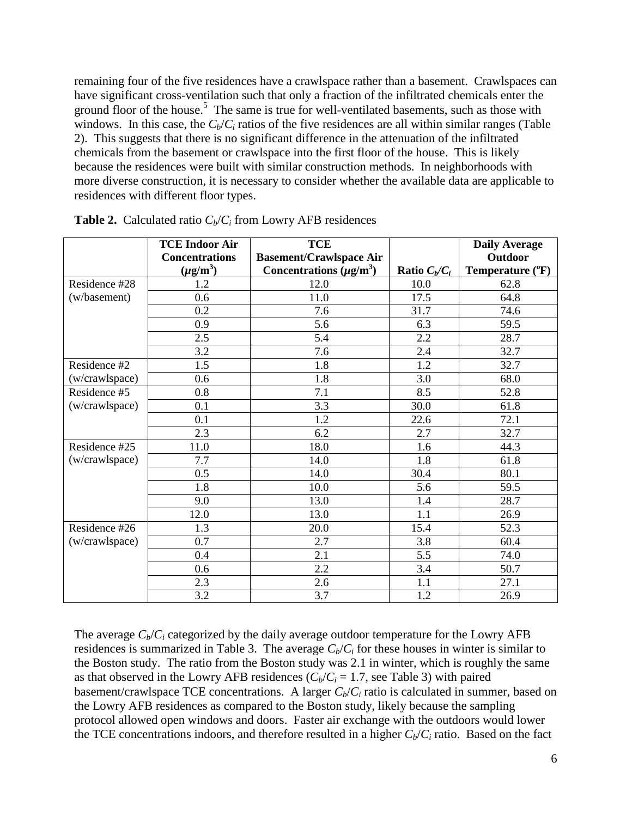remaining four of the five residences have a crawlspace rather than a basement. Crawlspaces can have significant cross-ventilation such that only a fraction of the infiltrated chemicals enter the ground floor of the house.<sup>5</sup> The same is true for well-ventilated basements, such as those with windows. In this case, the  $C_b/C_i$  ratios of the five residences are all within similar ranges (Table 2). This suggests that there is no significant difference in the attenuation of the infiltrated chemicals from the basement or crawlspace into the first floor of the house. This is likely because the residences were built with similar construction methods. In neighborhoods with more diverse construction, it is necessary to consider whether the available data are applicable to residences with different floor types.

|                | <b>TCE Indoor Air</b> | <b>TCE</b>                     |                 | <b>Daily Average</b> |
|----------------|-----------------------|--------------------------------|-----------------|----------------------|
|                | <b>Concentrations</b> | <b>Basement/Crawlspace Air</b> |                 | <b>Outdoor</b>       |
|                | $(\mu g/m^3)$         | Concentrations $(\mu g/m^3)$   | Ratio $C_b/C_i$ | Temperature $(^oF)$  |
| Residence #28  | 1.2                   | 12.0                           | 10.0            | 62.8                 |
| (w/basement)   | 0.6                   | 11.0                           | 17.5            | 64.8                 |
|                | 0.2                   | 7.6                            | 31.7            | 74.6                 |
|                | 0.9                   | 5.6                            | 6.3             | 59.5                 |
|                | 2.5                   | 5.4                            | 2.2             | 28.7                 |
|                | 3.2                   | 7.6                            | 2.4             | 32.7                 |
| Residence #2   | 1.5                   | 1.8                            | 1.2             | 32.7                 |
| (w/crawlspace) | 0.6                   | 1.8                            | 3.0             | 68.0                 |
| Residence #5   | 0.8                   | 7.1                            | 8.5             | 52.8                 |
| (w/crawlspace) | 0.1                   | 3.3                            | 30.0            | 61.8                 |
|                | 0.1                   | 1.2                            | 22.6            | 72.1                 |
|                | 2.3                   | 6.2                            | 2.7             | 32.7                 |
| Residence #25  | 11.0                  | 18.0                           | 1.6             | 44.3                 |
| (w/crawlspace) | 7.7                   | 14.0                           | 1.8             | 61.8                 |
|                | 0.5                   | 14.0                           | 30.4            | 80.1                 |
|                | 1.8                   | 10.0                           | 5.6             | 59.5                 |
|                | 9.0                   | 13.0                           | 1.4             | 28.7                 |
|                | 12.0                  | 13.0                           | 1.1             | 26.9                 |
| Residence #26  | 1.3                   | 20.0                           | 15.4            | 52.3                 |
| (w/crawlspace) | 0.7                   | 2.7                            | 3.8             | 60.4                 |
|                | 0.4                   | 2.1                            | 5.5             | 74.0                 |
|                | 0.6                   | 2.2                            | 3.4             | 50.7                 |
|                | 2.3                   | 2.6                            | 1.1             | 27.1                 |
|                | 3.2                   | 3.7                            | 1.2             | 26.9                 |

**Table 2.** Calculated ratio  $C_b/C_i$  from Lowry AFB residences

The average  $C_b/C_i$  categorized by the daily average outdoor temperature for the Lowry AFB residences is summarized in Table 3. The average  $C_b/C_i$  for these houses in winter is similar to the Boston study. The ratio from the Boston study was 2.1 in winter, which is roughly the same as that observed in the Lowry AFB residences  $(C_b/C_i = 1.7$ , see Table 3) with paired basement/crawlspace TCE concentrations. A larger  $C_b/C_i$  ratio is calculated in summer, based on the Lowry AFB residences as compared to the Boston study, likely because the sampling protocol allowed open windows and doors. Faster air exchange with the outdoors would lower the TCE concentrations indoors, and therefore resulted in a higher  $C_b/C_i$  ratio. Based on the fact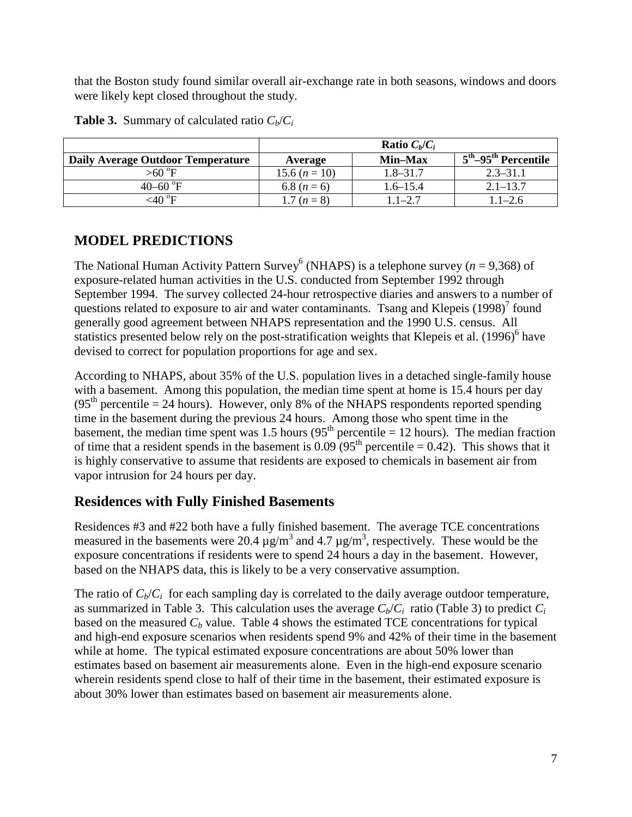that the Boston study found similar overall air-exchange rate in both seasons, windows and doors were likely kept closed throughout the study.

|                                   | <b>Ratio</b> $C_b/C_i$ |              |                                               |
|-----------------------------------|------------------------|--------------|-----------------------------------------------|
| Daily Average Outdoor Temperature | Average                | Min-Max      | $5^{\text{th}}$ –95 $^{\text{th}}$ Percentile |
| $>60^\circ F$                     | 15.6 $(n = 10)$        | $1.8 - 31.7$ | $2.3 - 31.1$                                  |
| 40–60 $\mathrm{^{\circ}F}$        | 6.8 $(n = 6)$          | $1.6 - 15.4$ | $2.1 - 13.7$                                  |
| ${<}40~^{\circ}\text{F}$          | 1.7 $(n = 8)$          | $1.1 - 2.7$  | $1.1 - 2.6$                                   |

**Table 3.** Summary of calculated ratio  $C_b/C_i$ 

## **MODEL PREDICTIONS**

The National Human Activity Pattern Survey<sup>6</sup> (NHAPS) is a telephone survey ( $n = 9,368$ ) of exposure-related human activities in the U.S. conducted from September 1992 through September 1994. The survey collected 24-hour retrospective diaries and answers to a number of questions related to exposure to air and water contaminants. Tsang and Klepeis  $(1998)^7$  found generally good agreement between NHAPS representation and the 1990 U.S. census. All statistics presented below rely on the post-stratification weights that Klepeis et al.  $(1996)^6$  have devised to correct for population proportions for age and sex.

According to NHAPS, about 35% of the U.S. population lives in a detached single-family house with a basement. Among this population, the median time spent at home is 15.4 hours per day  $(95<sup>th</sup>$  percentile = 24 hours). However, only 8% of the NHAPS respondents reported spending time in the basement during the previous 24 hours. Among those who spent time in the basement, the median time spent was 1.5 hours ( $95<sup>th</sup>$  percentile = 12 hours). The median fraction of time that a resident spends in the basement is  $0.09 (95<sup>th</sup>$  percentile = 0.42). This shows that it is highly conservative to assume that residents are exposed to chemicals in basement air from vapor intrusion for 24 hours per day.

## **Residences with Fully Finished Basements**

Residences #3 and #22 both have a fully finished basement. The average TCE concentrations measured in the basements were 20.4  $\mu$ g/m<sup>3</sup> and 4.7  $\mu$ g/m<sup>3</sup>, respectively. These would be the exposure concentrations if residents were to spend 24 hours a day in the basement. However, based on the NHAPS data, this is likely to be a very conservative assumption.

The ratio of  $C_b/C_i$  for each sampling day is correlated to the daily average outdoor temperature, as summarized in Table 3. This calculation uses the average  $C_b/C_i$  ratio (Table 3) to predict  $C_i$ based on the measured  $C_b$  value. Table 4 shows the estimated TCE concentrations for typical and high-end exposure scenarios when residents spend 9% and 42% of their time in the basement while at home. The typical estimated exposure concentrations are about 50% lower than estimates based on basement air measurements alone. Even in the high-end exposure scenario wherein residents spend close to half of their time in the basement, their estimated exposure is about 30% lower than estimates based on basement air measurements alone.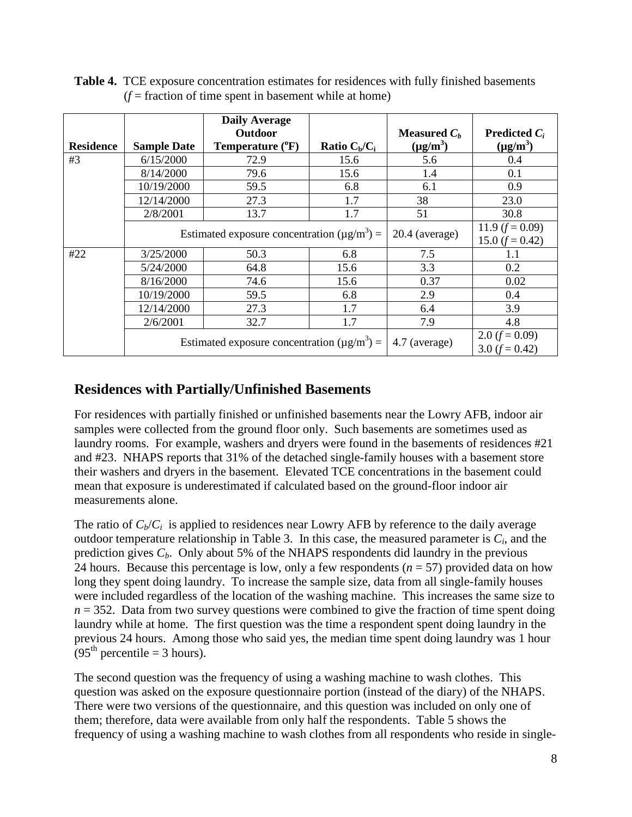| <b>Residence</b> | <b>Sample Date</b> | <b>Daily Average</b><br>Outdoor<br>Temperature (°F) | Ratio $C_b/C_i$ | Measured $C_h$<br>$(\mu g/m^3)$          | <b>Predicted</b> $C_i$<br>$(\mu g/m^3)$ |
|------------------|--------------------|-----------------------------------------------------|-----------------|------------------------------------------|-----------------------------------------|
| #3               | 6/15/2000          | 72.9                                                | 15.6            | 5.6                                      | 0.4                                     |
|                  | 8/14/2000          | 79.6                                                | 15.6            | 1.4                                      | 0.1                                     |
|                  | 10/19/2000         | 59.5                                                | 6.8             | 6.1                                      | 0.9                                     |
|                  | 12/14/2000         | 27.3                                                | 1.7             | 38                                       | 23.0                                    |
|                  | 2/8/2001           | 13.7                                                | 1.7             | 51                                       | 30.8                                    |
|                  |                    | Estimated exposure concentration $(\mu g/m^3)$ =    |                 | $20.4$ (average)                         | 11.9 $(f = 0.09)$<br>15.0 $(f = 0.42)$  |
| #22              | 3/25/2000          | 50.3                                                | 6.8             | 7.5                                      | 1.1                                     |
|                  | 5/24/2000          | 64.8                                                | 15.6            | 3.3                                      | 0.2                                     |
|                  | 8/16/2000          | 74.6                                                | 15.6            | 0.37                                     | 0.02                                    |
|                  | 10/19/2000         | 59.5                                                | 6.8             | 2.9                                      | 0.4                                     |
|                  | 12/14/2000         | 27.3                                                | 1.7             | 6.4                                      | 3.9                                     |
|                  | 2/6/2001           | 32.7                                                | 1.7             | 7.9                                      | 4.8                                     |
|                  |                    | Estimated exposure concentration $(\mu g/m^3)$ =    | 4.7 (average)   | 2.0 $(f = 0.09)$<br>$3.0$ ( $f = 0.42$ ) |                                         |

**Table 4.** TCE exposure concentration estimates for residences with fully finished basements  $(f = fraction of time spent in basement while at home)$ 

#### **Residences with Partially/Unfinished Basements**

For residences with partially finished or unfinished basements near the Lowry AFB, indoor air samples were collected from the ground floor only. Such basements are sometimes used as laundry rooms. For example, washers and dryers were found in the basements of residences #21 and #23. NHAPS reports that 31% of the detached single-family houses with a basement store their washers and dryers in the basement. Elevated TCE concentrations in the basement could mean that exposure is underestimated if calculated based on the ground-floor indoor air measurements alone.

The ratio of  $C_b/C_i$  is applied to residences near Lowry AFB by reference to the daily average outdoor temperature relationship in Table 3. In this case, the measured parameter is  $C_i$ , and the prediction gives  $C_b$ . Only about 5% of the NHAPS respondents did laundry in the previous 24 hours. Because this percentage is low, only a few respondents  $(n = 57)$  provided data on how long they spent doing laundry. To increase the sample size, data from all single-family houses were included regardless of the location of the washing machine. This increases the same size to  $n = 352$ . Data from two survey questions were combined to give the fraction of time spent doing laundry while at home. The first question was the time a respondent spent doing laundry in the previous 24 hours. Among those who said yes, the median time spent doing laundry was 1 hour  $(95<sup>th</sup> percentile = 3 hours).$ 

The second question was the frequency of using a washing machine to wash clothes. This question was asked on the exposure questionnaire portion (instead of the diary) of the NHAPS. There were two versions of the questionnaire, and this question was included on only one of them; therefore, data were available from only half the respondents. Table 5 shows the frequency of using a washing machine to wash clothes from all respondents who reside in single-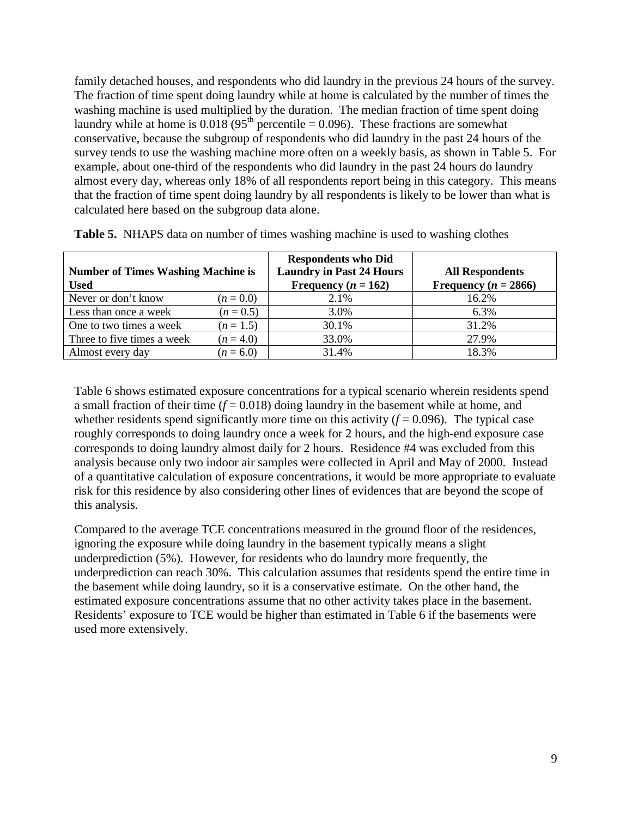family detached houses, and respondents who did laundry in the previous 24 hours of the survey. The fraction of time spent doing laundry while at home is calculated by the number of times the washing machine is used multiplied by the duration. The median fraction of time spent doing laundry while at home is  $0.018(95<sup>th</sup>$  percentile = 0.096). These fractions are somewhat conservative, because the subgroup of respondents who did laundry in the past 24 hours of the survey tends to use the washing machine more often on a weekly basis, as shown in Table 5. For example, about one-third of the respondents who did laundry in the past 24 hours do laundry almost every day, whereas only 18% of all respondents report being in this category. This means that the fraction of time spent doing laundry by all respondents is likely to be lower than what is calculated here based on the subgroup data alone.

| <b>Number of Times Washing Machine is</b> |             | <b>Respondents who Did</b><br><b>Laundry in Past 24 Hours</b> | <b>All Respondents</b>   |  |
|-------------------------------------------|-------------|---------------------------------------------------------------|--------------------------|--|
| <b>Used</b>                               |             | Frequency ( $n = 162$ )                                       | Frequency ( $n = 2866$ ) |  |
| Never or don't know                       | $(n = 0.0)$ | 2.1%                                                          | 16.2%                    |  |
| Less than once a week                     | $(n = 0.5)$ | 3.0%                                                          | $6.3\%$                  |  |
| One to two times a week                   | $(n = 1.5)$ | 30.1%                                                         | 31.2%                    |  |
| Three to five times a week                | $(n = 4.0)$ | 33.0%                                                         | 27.9%                    |  |
| Almost every day                          | $(n = 6.0)$ | 31.4%                                                         | 18.3%                    |  |

**Table 5.** NHAPS data on number of times washing machine is used to washing clothes

Table 6 shows estimated exposure concentrations for a typical scenario wherein residents spend a small fraction of their time  $(f = 0.018)$  doing laundry in the basement while at home, and whether residents spend significantly more time on this activity  $(f = 0.096)$ . The typical case roughly corresponds to doing laundry once a week for 2 hours, and the high-end exposure case corresponds to doing laundry almost daily for 2 hours. Residence #4 was excluded from this analysis because only two indoor air samples were collected in April and May of 2000. Instead of a quantitative calculation of exposure concentrations, it would be more appropriate to evaluate risk for this residence by also considering other lines of evidences that are beyond the scope of this analysis.

Compared to the average TCE concentrations measured in the ground floor of the residences, ignoring the exposure while doing laundry in the basement typically means a slight underprediction (5%). However, for residents who do laundry more frequently, the underprediction can reach 30%. This calculation assumes that residents spend the entire time in the basement while doing laundry, so it is a conservative estimate. On the other hand, the estimated exposure concentrations assume that no other activity takes place in the basement. Residents' exposure to TCE would be higher than estimated in Table 6 if the basements were used more extensively.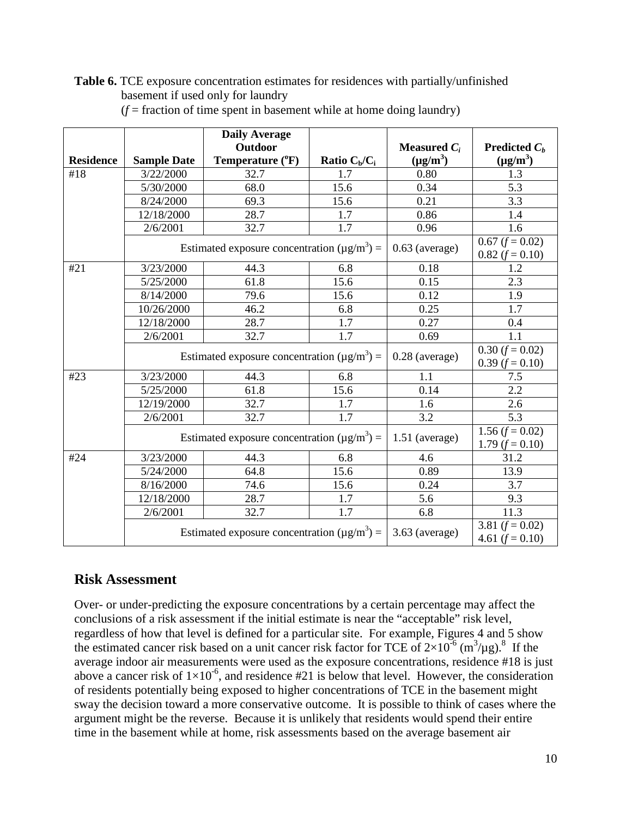**Table 6.** TCE exposure concentration estimates for residences with partially/unfinished basement if used only for laundry

|                  |                    | <b>Daily Average</b>                                          |                  |                                                |                        |
|------------------|--------------------|---------------------------------------------------------------|------------------|------------------------------------------------|------------------------|
|                  |                    | <b>Outdoor</b>                                                |                  | <b>Measured</b> $C_i$                          | <b>Predicted</b> $C_h$ |
| <b>Residence</b> | <b>Sample Date</b> | Temperature (°F)                                              | Ratio $C_b/C_i$  | $(\mu g/m^3)$                                  | $(\mu g/m^3)$          |
| #18              | 3/22/2000          | 32.7                                                          | 1.7              | 0.80                                           | 1.3                    |
|                  | 5/30/2000          | 68.0                                                          | 15.6             | 0.34                                           | 5.3                    |
|                  | 8/24/2000          | 69.3                                                          | 15.6             | 0.21                                           | 3.3                    |
|                  | 12/18/2000         | 28.7                                                          | 1.7              | 0.86                                           | 1.4                    |
|                  | 2/6/2001           | 32.7                                                          | 1.7              | 0.96                                           | 1.6                    |
|                  |                    | Estimated exposure concentration $(\mu g/m^3)$ =              | $0.63$ (average) | $0.67$ ( $f = 0.02$ )<br>$0.82$ ( $f = 0.10$ ) |                        |
| #21              | 3/23/2000          | 44.3                                                          | 6.8              | 0.18                                           | 1.2                    |
|                  | 5/25/2000          | 61.8                                                          | 15.6             | 0.15                                           | 2.3                    |
|                  | 8/14/2000          | 79.6                                                          | 15.6             | 0.12                                           | 1.9                    |
|                  | 10/26/2000         | 46.2                                                          | 6.8              | 0.25                                           | 1.7                    |
|                  | 12/18/2000         | 28.7                                                          | 1.7              | 0.27                                           | 0.4                    |
|                  | 2/6/2001           | 32.7                                                          | 1.7              | 0.69                                           | 1.1                    |
|                  |                    | Estimated exposure concentration ( $\mu$ g/m <sup>3</sup> ) = | $0.28$ (average) | $0.30$ ( $f = 0.02$ )<br>$0.39$ ( $f = 0.10$ ) |                        |
| #23              | 3/23/2000          | 44.3                                                          | 6.8              | 1.1                                            | 7.5                    |
|                  | 5/25/2000          | 61.8                                                          | 15.6             | 0.14                                           | 2.2                    |
|                  | 12/19/2000         | 32.7                                                          | 1.7              | 1.6                                            | 2.6                    |
|                  | 2/6/2001           | 32.7                                                          | 1.7              | 3.2                                            | 5.3                    |
|                  |                    | Estimated exposure concentration ( $\mu$ g/m <sup>3</sup> ) = | $1.51$ (average) | 1.56 $(f = 0.02)$<br>1.79 $(f = 0.10)$         |                        |
| #24              | 3/23/2000          | 44.3                                                          | 6.8              | 4.6                                            | 31.2                   |
|                  | 5/24/2000          | 64.8                                                          | 15.6             | 0.89                                           | 13.9                   |
|                  | 8/16/2000          | 74.6                                                          | 15.6             | 0.24                                           | 3.7                    |
|                  | 12/18/2000         | 28.7                                                          | 1.7              | 5.6                                            | 9.3                    |
|                  | 2/6/2001           | 32.7                                                          | 1.7              | 6.8                                            | 11.3                   |
|                  |                    | Estimated exposure concentration ( $\mu$ g/m <sup>3</sup> ) = | $3.63$ (average) | 3.81 $(f = 0.02)$<br>4.61 $(f = 0.10)$         |                        |

 $(f = fraction of time spent in basement while at home doing launch)$ 

## **Risk Assessment**

Over- or under-predicting the exposure concentrations by a certain percentage may affect the conclusions of a risk assessment if the initial estimate is near the "acceptable" risk level, regardless of how that level is defined for a particular site. For example, Figures 4 and 5 show the estimated cancer risk based on a unit cancer risk factor for TCE of  $2\times10^{-6}$  (m<sup>3</sup>/µg).<sup>8</sup> If the average indoor air measurements were used as the exposure concentrations, residence #18 is just above a cancer risk of  $1\times10^{-6}$ , and residence #21 is below that level. However, the consideration of residents potentially being exposed to higher concentrations of TCE in the basement might sway the decision toward a more conservative outcome. It is possible to think of cases where the argument might be the reverse. Because it is unlikely that residents would spend their entire time in the basement while at home, risk assessments based on the average basement air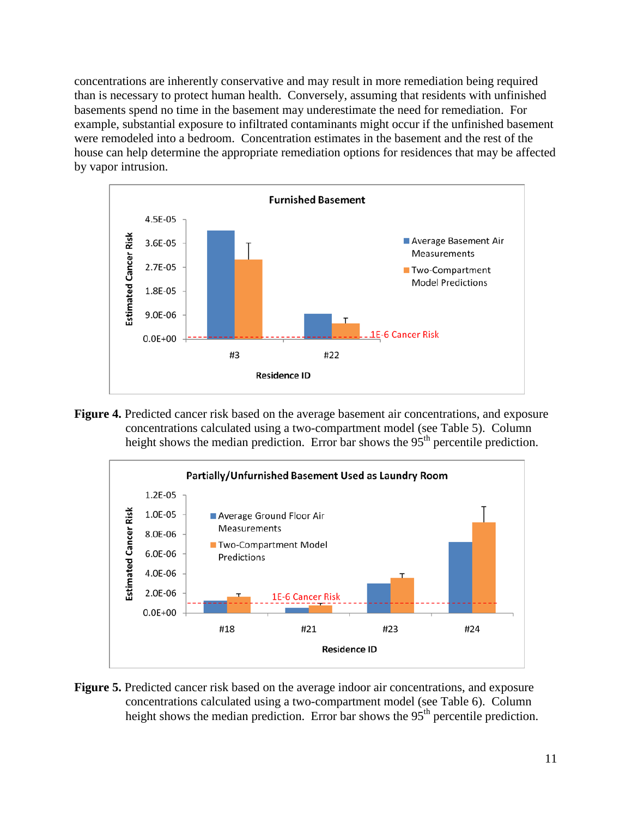concentrations are inherently conservative and may result in more remediation being required than is necessary to protect human health. Conversely, assuming that residents with unfinished basements spend no time in the basement may underestimate the need for remediation. For example, substantial exposure to infiltrated contaminants might occur if the unfinished basement were remodeled into a bedroom. Concentration estimates in the basement and the rest of the house can help determine the appropriate remediation options for residences that may be affected by vapor intrusion.



**Figure 4.** Predicted cancer risk based on the average basement air concentrations, and exposure concentrations calculated using a two-compartment model (see Table 5). Column height shows the median prediction. Error bar shows the 95<sup>th</sup> percentile prediction.



**Figure 5.** Predicted cancer risk based on the average indoor air concentrations, and exposure concentrations calculated using a two-compartment model (see Table 6). Column height shows the median prediction. Error bar shows the 95<sup>th</sup> percentile prediction.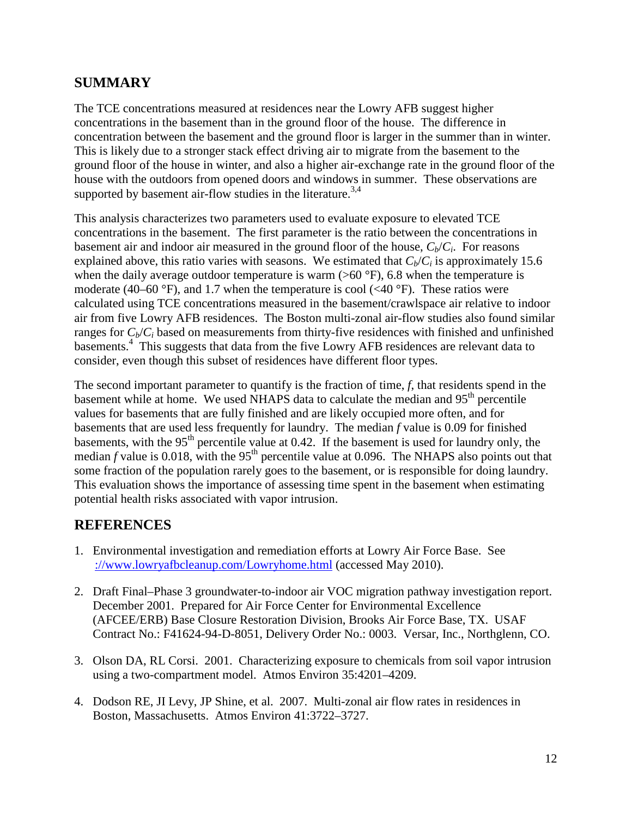#### **SUMMARY**

The TCE concentrations measured at residences near the Lowry AFB suggest higher concentrations in the basement than in the ground floor of the house. The difference in concentration between the basement and the ground floor is larger in the summer than in winter. This is likely due to a stronger stack effect driving air to migrate from the basement to the ground floor of the house in winter, and also a higher air-exchange rate in the ground floor of the house with the outdoors from opened doors and windows in summer. These observations are supported by basement air-flow studies in the literature.<sup>3,4</sup>

This analysis characterizes two parameters used to evaluate exposure to elevated TCE concentrations in the basement. The first parameter is the ratio between the concentrations in basement air and indoor air measured in the ground floor of the house,  $C_b/C_i$ . For reasons explained above, this ratio varies with seasons. We estimated that  $C_b/C_i$  is approximately 15.6 when the daily average outdoor temperature is warm  $(>60\text{ °F})$ , 6.8 when the temperature is moderate (40–60 °F), and 1.7 when the temperature is cool ( $\langle 40 \text{ }^{\circ}$ F). These ratios were calculated using TCE concentrations measured in the basement/crawlspace air relative to indoor air from five Lowry AFB residences. The Boston multi-zonal air-flow studies also found similar ranges for  $C_b/C_i$  based on measurements from thirty-five residences with finished and unfinished basements.<sup>4</sup> This suggests that data from the five Lowry AFB residences are relevant data to consider, even though this subset of residences have different floor types.

The second important parameter to quantify is the fraction of time, *f*, that residents spend in the basement while at home. We used NHAPS data to calculate the median and  $95<sup>th</sup>$  percentile values for basements that are fully finished and are likely occupied more often, and for basements that are used less frequently for laundry. The median *f* value is 0.09 for finished basements, with the 95<sup>th</sup> percentile value at 0.42. If the basement is used for laundry only, the median  $f$  value is 0.018, with the 95<sup>th</sup> percentile value at 0.096. The NHAPS also points out that some fraction of the population rarely goes to the basement, or is responsible for doing laundry. This evaluation shows the importance of assessing time spent in the basement when estimating potential health risks associated with vapor intrusion.

#### **REFERENCES**

- 1. Environmental investigation and remediation efforts at Lowry Air Force Base. See [://www.lowryafbcleanup.com/Lowryhome.html](http://www.lowryafbcleanup.com/Lowryhome.html) (accessed May 2010).
- 2. Draft Final–Phase 3 groundwater-to-indoor air VOC migration pathway investigation report. December 2001. Prepared for Air Force Center for Environmental Excellence (AFCEE/ERB) Base Closure Restoration Division, Brooks Air Force Base, TX. USAF Contract No.: F41624-94-D-8051, Delivery Order No.: 0003. Versar, Inc., Northglenn, CO.
- 3. Olson DA, RL Corsi. 2001. Characterizing exposure to chemicals from soil vapor intrusion using a two-compartment model. Atmos Environ 35:4201–4209.
- 4. Dodson RE, JI Levy, JP Shine, et al. 2007. Multi-zonal air flow rates in residences in Boston, Massachusetts. Atmos Environ 41:3722–3727.